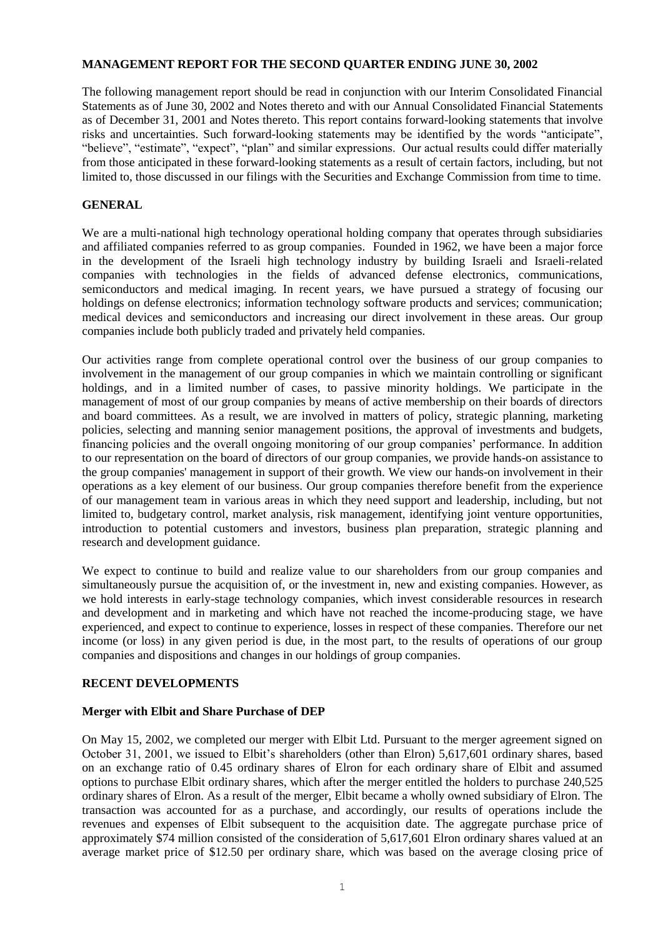## **MANAGEMENT REPORT FOR THE SECOND QUARTER ENDING JUNE 30, 2002**

The following management report should be read in conjunction with our Interim Consolidated Financial Statements as of June 30, 2002 and Notes thereto and with our Annual Consolidated Financial Statements as of December 31, 2001 and Notes thereto. This report contains forward-looking statements that involve risks and uncertainties. Such forward-looking statements may be identified by the words "anticipate", "believe", "estimate", "expect", "plan" and similar expressions. Our actual results could differ materially from those anticipated in these forward-looking statements as a result of certain factors, including, but not limited to, those discussed in our filings with the Securities and Exchange Commission from time to time.

### **GENERAL**

We are a multi-national high technology operational holding company that operates through subsidiaries and affiliated companies referred to as group companies. Founded in 1962, we have been a major force in the development of the Israeli high technology industry by building Israeli and Israeli-related companies with technologies in the fields of advanced defense electronics, communications, semiconductors and medical imaging. In recent years, we have pursued a strategy of focusing our holdings on defense electronics; information technology software products and services; communication; medical devices and semiconductors and increasing our direct involvement in these areas. Our group companies include both publicly traded and privately held companies.

Our activities range from complete operational control over the business of our group companies to involvement in the management of our group companies in which we maintain controlling or significant holdings, and in a limited number of cases, to passive minority holdings. We participate in the management of most of our group companies by means of active membership on their boards of directors and board committees. As a result, we are involved in matters of policy, strategic planning, marketing policies, selecting and manning senior management positions, the approval of investments and budgets, financing policies and the overall ongoing monitoring of our group companies' performance. In addition to our representation on the board of directors of our group companies, we provide hands-on assistance to the group companies' management in support of their growth. We view our hands-on involvement in their operations as a key element of our business. Our group companies therefore benefit from the experience of our management team in various areas in which they need support and leadership, including, but not limited to, budgetary control, market analysis, risk management, identifying joint venture opportunities, introduction to potential customers and investors, business plan preparation, strategic planning and research and development guidance.

We expect to continue to build and realize value to our shareholders from our group companies and simultaneously pursue the acquisition of, or the investment in, new and existing companies. However, as we hold interests in early-stage technology companies, which invest considerable resources in research and development and in marketing and which have not reached the income-producing stage, we have experienced, and expect to continue to experience, losses in respect of these companies. Therefore our net income (or loss) in any given period is due, in the most part, to the results of operations of our group companies and dispositions and changes in our holdings of group companies.

## **RECENT DEVELOPMENTS**

#### **Merger with Elbit and Share Purchase of DEP**

On May 15, 2002, we completed our merger with Elbit Ltd. Pursuant to the merger agreement signed on October 31, 2001, we issued to Elbit's shareholders (other than Elron) 5,617,601 ordinary shares, based on an exchange ratio of 0.45 ordinary shares of Elron for each ordinary share of Elbit and assumed options to purchase Elbit ordinary shares, which after the merger entitled the holders to purchase 240,525 ordinary shares of Elron. As a result of the merger, Elbit became a wholly owned subsidiary of Elron. The transaction was accounted for as a purchase, and accordingly, our results of operations include the revenues and expenses of Elbit subsequent to the acquisition date. The aggregate purchase price of approximately \$74 million consisted of the consideration of 5,617,601 Elron ordinary shares valued at an average market price of \$12.50 per ordinary share, which was based on the average closing price of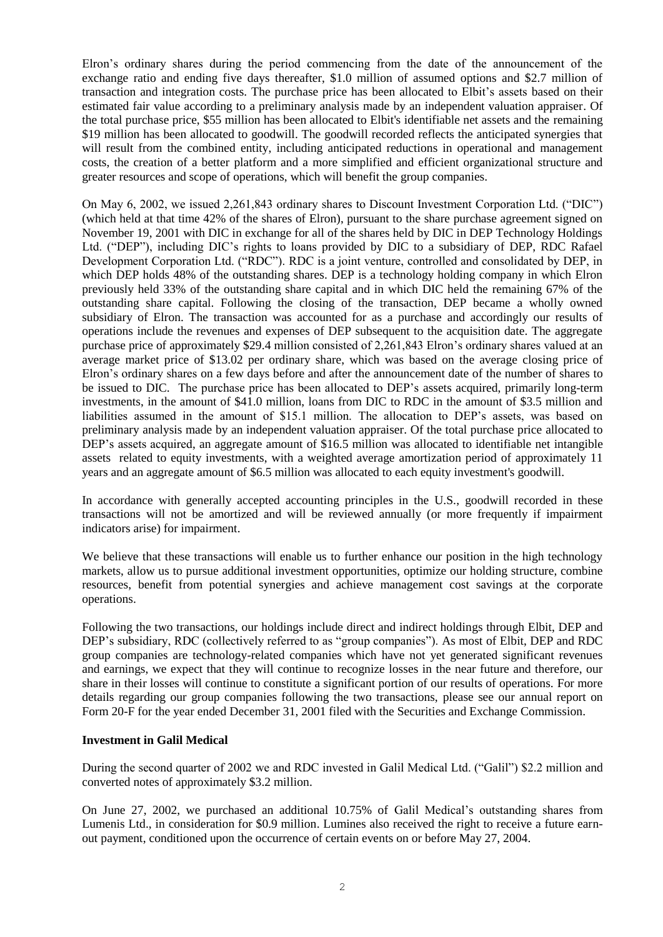Elron's ordinary shares during the period commencing from the date of the announcement of the exchange ratio and ending five days thereafter, \$1.0 million of assumed options and \$2.7 million of transaction and integration costs. The purchase price has been allocated to Elbit's assets based on their estimated fair value according to a preliminary analysis made by an independent valuation appraiser. Of the total purchase price, \$55 million has been allocated to Elbit's identifiable net assets and the remaining \$19 million has been allocated to goodwill. The goodwill recorded reflects the anticipated synergies that will result from the combined entity, including anticipated reductions in operational and management costs, the creation of a better platform and a more simplified and efficient organizational structure and greater resources and scope of operations, which will benefit the group companies.

On May 6, 2002, we issued 2,261,843 ordinary shares to Discount Investment Corporation Ltd. ("DIC") (which held at that time 42% of the shares of Elron), pursuant to the share purchase agreement signed on November 19, 2001 with DIC in exchange for all of the shares held by DIC in DEP Technology Holdings Ltd. ("DEP"), including DIC's rights to loans provided by DIC to a subsidiary of DEP, RDC Rafael Development Corporation Ltd. ("RDC"). RDC is a joint venture, controlled and consolidated by DEP, in which DEP holds 48% of the outstanding shares. DEP is a technology holding company in which Elron previously held 33% of the outstanding share capital and in which DIC held the remaining 67% of the outstanding share capital. Following the closing of the transaction, DEP became a wholly owned subsidiary of Elron. The transaction was accounted for as a purchase and accordingly our results of operations include the revenues and expenses of DEP subsequent to the acquisition date. The aggregate purchase price of approximately \$29.4 million consisted of 2,261,843 Elron's ordinary shares valued at an average market price of \$13.02 per ordinary share, which was based on the average closing price of Elron's ordinary shares on a few days before and after the announcement date of the number of shares to be issued to DIC. The purchase price has been allocated to DEP's assets acquired, primarily long-term investments, in the amount of \$41.0 million, loans from DIC to RDC in the amount of \$3.5 million and liabilities assumed in the amount of \$15.1 million. The allocation to DEP's assets, was based on preliminary analysis made by an independent valuation appraiser. Of the total purchase price allocated to DEP's assets acquired, an aggregate amount of \$16.5 million was allocated to identifiable net intangible assets related to equity investments, with a weighted average amortization period of approximately 11 years and an aggregate amount of \$6.5 million was allocated to each equity investment's goodwill.

In accordance with generally accepted accounting principles in the U.S., goodwill recorded in these transactions will not be amortized and will be reviewed annually (or more frequently if impairment indicators arise) for impairment.

We believe that these transactions will enable us to further enhance our position in the high technology markets, allow us to pursue additional investment opportunities, optimize our holding structure, combine resources, benefit from potential synergies and achieve management cost savings at the corporate operations.

Following the two transactions, our holdings include direct and indirect holdings through Elbit, DEP and DEP's subsidiary, RDC (collectively referred to as "group companies"). As most of Elbit, DEP and RDC group companies are technology-related companies which have not yet generated significant revenues and earnings, we expect that they will continue to recognize losses in the near future and therefore, our share in their losses will continue to constitute a significant portion of our results of operations. For more details regarding our group companies following the two transactions, please see our annual report on Form 20-F for the year ended December 31, 2001 filed with the Securities and Exchange Commission.

## **Investment in Galil Medical**

During the second quarter of 2002 we and RDC invested in Galil Medical Ltd. ("Galil") \$2.2 million and converted notes of approximately \$3.2 million.

On June 27, 2002, we purchased an additional 10.75% of Galil Medical's outstanding shares from Lumenis Ltd., in consideration for \$0.9 million. Lumines also received the right to receive a future earnout payment, conditioned upon the occurrence of certain events on or before May 27, 2004.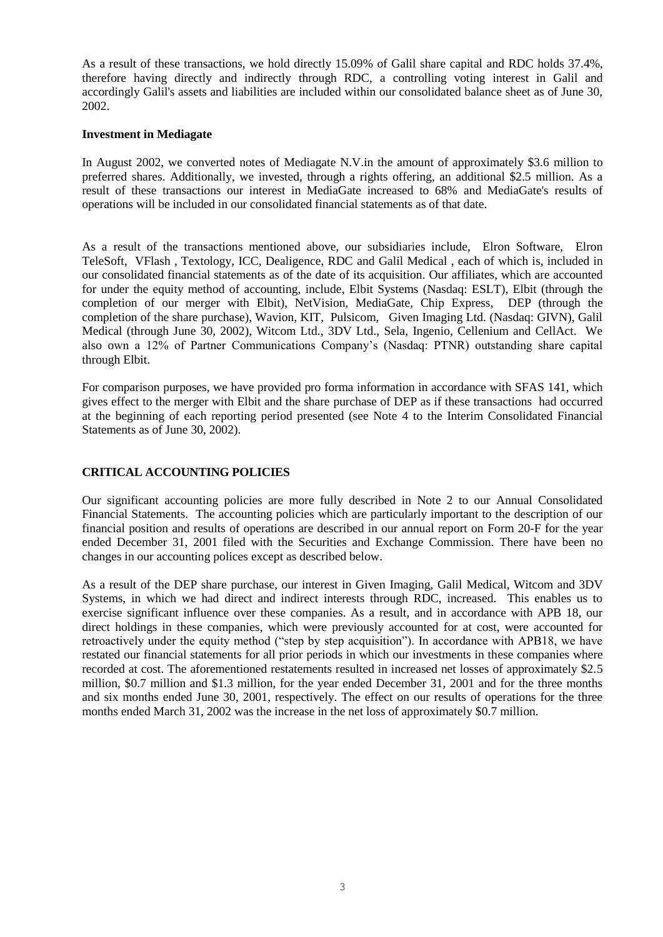As a result of these transactions, we hold directly 15.09% of Galil share capital and RDC holds 37.4%, therefore having directly and indirectly through RDC, a controlling voting interest in Galil and accordingly Galil's assets and liabilities are included within our consolidated balance sheet as of June 30, 2002.

### **Investment in Mediagate**

In August 2002, we converted notes of Mediagate N.V.in the amount of approximately \$3.6 million to preferred shares. Additionally, we invested, through a rights offering, an additional \$2.5 million. As a result of these transactions our interest in MediaGate increased to 68% and MediaGate's results of operations will be included in our consolidated financial statements as of that date.

As a result of the transactions mentioned above, our subsidiaries include, Elron Software, Elron TeleSoft, VFlash , Textology, ICC, Dealigence, RDC and Galil Medical , each of which is, included in our consolidated financial statements as of the date of its acquisition. Our affiliates, which are accounted for under the equity method of accounting, include, Elbit Systems (Nasdaq: ESLT), Elbit (through the completion of our merger with Elbit), NetVision, MediaGate, Chip Express, DEP (through the completion of the share purchase), Wavion, KIT, Pulsicom, Given Imaging Ltd. (Nasdaq: GIVN), Galil Medical (through June 30, 2002), Witcom Ltd., 3DV Ltd., Sela, Ingenio, Cellenium and CellAct. We also own a 12% of Partner Communications Company's (Nasdaq: PTNR) outstanding share capital through Elbit.

For comparison purposes, we have provided pro forma information in accordance with SFAS 141, which gives effect to the merger with Elbit and the share purchase of DEP as if these transactions had occurred at the beginning of each reporting period presented (see Note 4 to the Interim Consolidated Financial Statements as of June 30, 2002).

## **CRITICAL ACCOUNTING POLICIES**

Our significant accounting policies are more fully described in Note 2 to our Annual Consolidated Financial Statements. The accounting policies which are particularly important to the description of our financial position and results of operations are described in our annual report on Form 20-F for the year ended December 31, 2001 filed with the Securities and Exchange Commission. There have been no changes in our accounting polices except as described below.

As a result of the DEP share purchase, our interest in Given Imaging, Galil Medical, Witcom and 3DV Systems, in which we had direct and indirect interests through RDC, increased. This enables us to exercise significant influence over these companies. As a result, and in accordance with APB 18, our direct holdings in these companies, which were previously accounted for at cost, were accounted for retroactively under the equity method ("step by step acquisition"). In accordance with APB18, we have restated our financial statements for all prior periods in which our investments in these companies where recorded at cost. The aforementioned restatements resulted in increased net losses of approximately \$2.5 million, \$0.7 million and \$1.3 million, for the year ended December 31, 2001 and for the three months and six months ended June 30, 2001, respectively. The effect on our results of operations for the three months ended March 31, 2002 was the increase in the net loss of approximately \$0.7 million.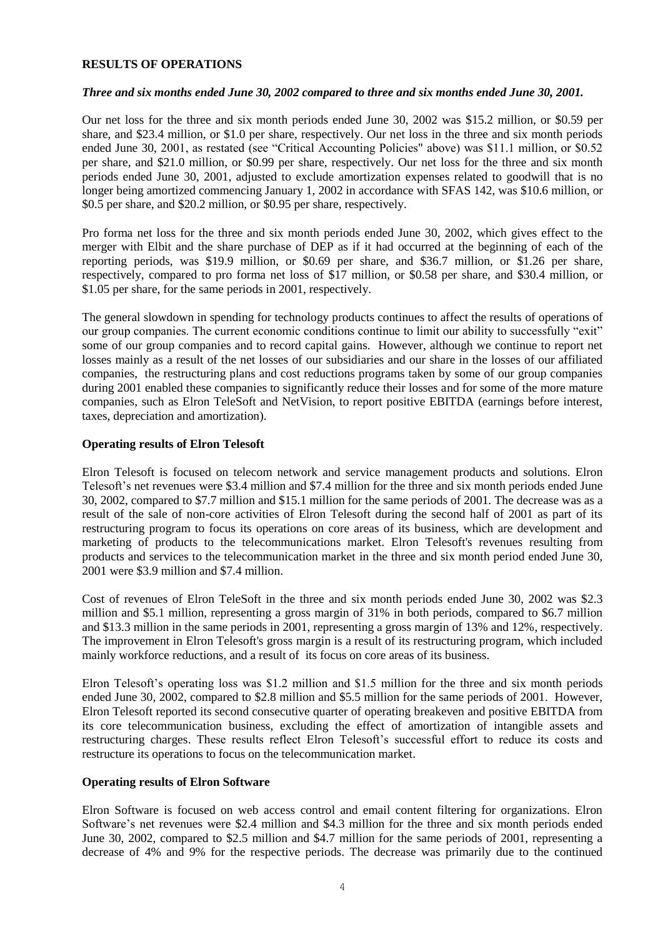### **RESULTS OF OPERATIONS**

### *Three and six months ended June 30, 2002 compared to three and six months ended June 30, 2001.*

Our net loss for the three and six month periods ended June 30, 2002 was \$15.2 million, or \$0.59 per share, and \$23.4 million, or \$1.0 per share, respectively. Our net loss in the three and six month periods ended June 30, 2001, as restated (see "Critical Accounting Policies" above) was \$11.1 million, or \$0.52 per share, and \$21.0 million, or \$0.99 per share, respectively. Our net loss for the three and six month periods ended June 30, 2001, adjusted to exclude amortization expenses related to goodwill that is no longer being amortized commencing January 1, 2002 in accordance with SFAS 142, was \$10.6 million, or \$0.5 per share, and \$20.2 million, or \$0.95 per share, respectively.

Pro forma net loss for the three and six month periods ended June 30, 2002, which gives effect to the merger with Elbit and the share purchase of DEP as if it had occurred at the beginning of each of the reporting periods, was \$19.9 million, or \$0.69 per share, and \$36.7 million, or \$1.26 per share, respectively, compared to pro forma net loss of \$17 million, or \$0.58 per share, and \$30.4 million, or \$1.05 per share, for the same periods in 2001, respectively.

The general slowdown in spending for technology products continues to affect the results of operations of our group companies. The current economic conditions continue to limit our ability to successfully "exit" some of our group companies and to record capital gains. However, although we continue to report net losses mainly as a result of the net losses of our subsidiaries and our share in the losses of our affiliated companies, the restructuring plans and cost reductions programs taken by some of our group companies during 2001 enabled these companies to significantly reduce their losses and for some of the more mature companies, such as Elron TeleSoft and NetVision, to report positive EBITDA (earnings before interest, taxes, depreciation and amortization).

### **Operating results of Elron Telesoft**

Elron Telesoft is focused on telecom network and service management products and solutions. Elron Telesoft's net revenues were \$3.4 million and \$7.4 million for the three and six month periods ended June 30, 2002, compared to \$7.7 million and \$15.1 million for the same periods of 2001. The decrease was as a result of the sale of non-core activities of Elron Telesoft during the second half of 2001 as part of its restructuring program to focus its operations on core areas of its business, which are development and marketing of products to the telecommunications market. Elron Telesoft's revenues resulting from products and services to the telecommunication market in the three and six month period ended June 30, 2001 were \$3.9 million and \$7.4 million.

Cost of revenues of Elron TeleSoft in the three and six month periods ended June 30, 2002 was \$2.3 million and \$5.1 million, representing a gross margin of 31% in both periods, compared to \$6.7 million and \$13.3 million in the same periods in 2001, representing a gross margin of 13% and 12%, respectively. The improvement in Elron Telesoft's gross margin is a result of its restructuring program, which included mainly workforce reductions, and a result of its focus on core areas of its business.

Elron Telesoft's operating loss was \$1.2 million and \$1.5 million for the three and six month periods ended June 30, 2002, compared to \$2.8 million and \$5.5 million for the same periods of 2001. However, Elron Telesoft reported its second consecutive quarter of operating breakeven and positive EBITDA from its core telecommunication business, excluding the effect of amortization of intangible assets and restructuring charges. These results reflect Elron Telesoft's successful effort to reduce its costs and restructure its operations to focus on the telecommunication market.

## **Operating results of Elron Software**

Elron Software is focused on web access control and email content filtering for organizations. Elron Software's net revenues were \$2.4 million and \$4.3 million for the three and six month periods ended June 30, 2002, compared to \$2.5 million and \$4.7 million for the same periods of 2001, representing a decrease of 4% and 9% for the respective periods. The decrease was primarily due to the continued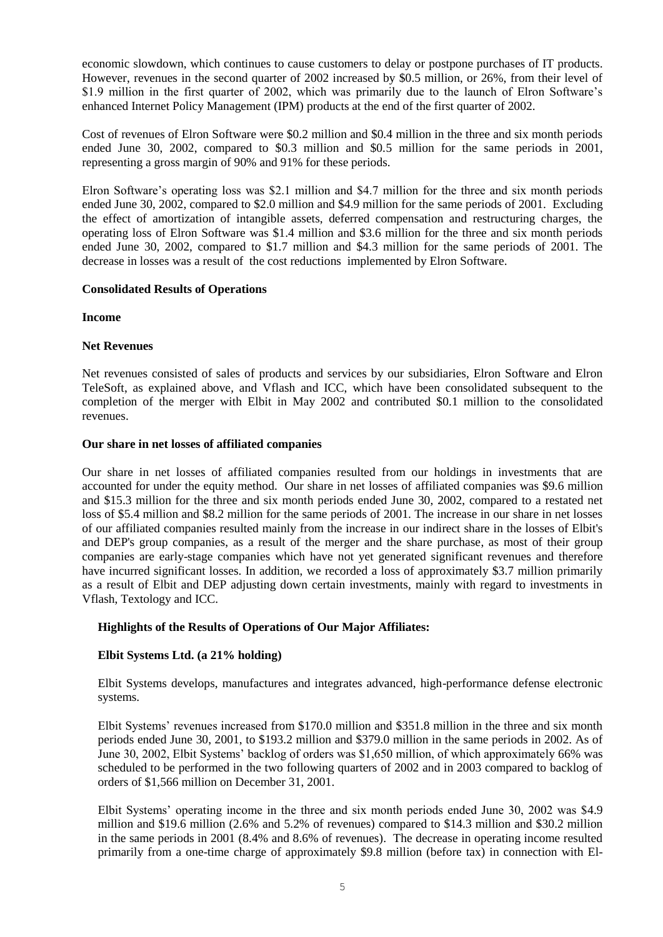economic slowdown, which continues to cause customers to delay or postpone purchases of IT products. However, revenues in the second quarter of 2002 increased by \$0.5 million, or 26%, from their level of \$1.9 million in the first quarter of 2002, which was primarily due to the launch of Elron Software's enhanced Internet Policy Management (IPM) products at the end of the first quarter of 2002.

Cost of revenues of Elron Software were \$0.2 million and \$0.4 million in the three and six month periods ended June 30, 2002, compared to \$0.3 million and \$0.5 million for the same periods in 2001, representing a gross margin of 90% and 91% for these periods.

Elron Software's operating loss was \$2.1 million and \$4.7 million for the three and six month periods ended June 30, 2002, compared to \$2.0 million and \$4.9 million for the same periods of 2001. Excluding the effect of amortization of intangible assets, deferred compensation and restructuring charges, the operating loss of Elron Software was \$1.4 million and \$3.6 million for the three and six month periods ended June 30, 2002, compared to \$1.7 million and \$4.3 million for the same periods of 2001. The decrease in losses was a result of the cost reductions implemented by Elron Software.

## **Consolidated Results of Operations**

## **Income**

# **Net Revenues**

Net revenues consisted of sales of products and services by our subsidiaries, Elron Software and Elron TeleSoft, as explained above, and Vflash and ICC, which have been consolidated subsequent to the completion of the merger with Elbit in May 2002 and contributed \$0.1 million to the consolidated revenues.

## **Our share in net losses of affiliated companies**

Our share in net losses of affiliated companies resulted from our holdings in investments that are accounted for under the equity method. Our share in net losses of affiliated companies was \$9.6 million and \$15.3 million for the three and six month periods ended June 30, 2002, compared to a restated net loss of \$5.4 million and \$8.2 million for the same periods of 2001. The increase in our share in net losses of our affiliated companies resulted mainly from the increase in our indirect share in the losses of Elbit's and DEP's group companies, as a result of the merger and the share purchase, as most of their group companies are early-stage companies which have not yet generated significant revenues and therefore have incurred significant losses. In addition, we recorded a loss of approximately \$3.7 million primarily as a result of Elbit and DEP adjusting down certain investments, mainly with regard to investments in Vflash, Textology and ICC.

## **Highlights of the Results of Operations of Our Major Affiliates:**

# **Elbit Systems Ltd. (a 21% holding)**

Elbit Systems develops, manufactures and integrates advanced, high-performance defense electronic systems.

Elbit Systems' revenues increased from \$170.0 million and \$351.8 million in the three and six month periods ended June 30, 2001, to \$193.2 million and \$379.0 million in the same periods in 2002. As of June 30, 2002, Elbit Systems' backlog of orders was \$1,650 million, of which approximately 66% was scheduled to be performed in the two following quarters of 2002 and in 2003 compared to backlog of orders of \$1,566 million on December 31, 2001.

Elbit Systems' operating income in the three and six month periods ended June 30, 2002 was \$4.9 million and \$19.6 million (2.6% and 5.2% of revenues) compared to \$14.3 million and \$30.2 million in the same periods in 2001 (8.4% and 8.6% of revenues). The decrease in operating income resulted primarily from a one-time charge of approximately \$9.8 million (before tax) in connection with El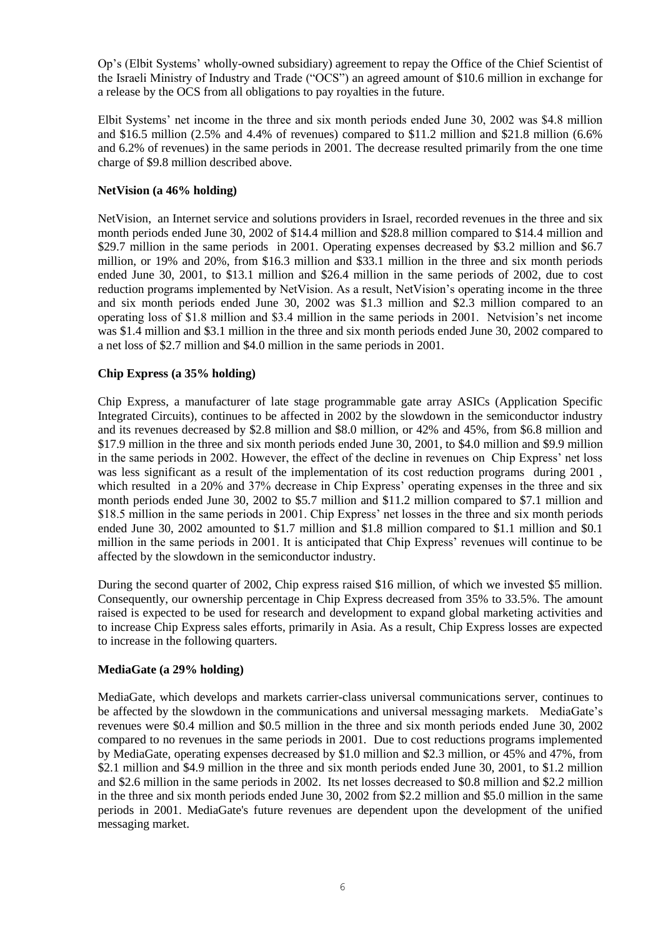Op's (Elbit Systems' wholly-owned subsidiary) agreement to repay the Office of the Chief Scientist of the Israeli Ministry of Industry and Trade ("OCS") an agreed amount of \$10.6 million in exchange for a release by the OCS from all obligations to pay royalties in the future.

Elbit Systems' net income in the three and six month periods ended June 30, 2002 was \$4.8 million and \$16.5 million (2.5% and 4.4% of revenues) compared to \$11.2 million and \$21.8 million (6.6% and 6.2% of revenues) in the same periods in 2001. The decrease resulted primarily from the one time charge of \$9.8 million described above.

# **NetVision (a 46% holding)**

NetVision, an Internet service and solutions providers in Israel, recorded revenues in the three and six month periods ended June 30, 2002 of \$14.4 million and \$28.8 million compared to \$14.4 million and \$29.7 million in the same periods in 2001. Operating expenses decreased by \$3.2 million and \$6.7 million, or 19% and 20%, from \$16.3 million and \$33.1 million in the three and six month periods ended June 30, 2001, to \$13.1 million and \$26.4 million in the same periods of 2002, due to cost reduction programs implemented by NetVision. As a result, NetVision's operating income in the three and six month periods ended June 30, 2002 was \$1.3 million and \$2.3 million compared to an operating loss of \$1.8 million and \$3.4 million in the same periods in 2001. Netvision's net income was \$1.4 million and \$3.1 million in the three and six month periods ended June 30, 2002 compared to a net loss of \$2.7 million and \$4.0 million in the same periods in 2001.

# **Chip Express (a 35% holding)**

Chip Express, a manufacturer of late stage programmable gate array ASICs (Application Specific Integrated Circuits), continues to be affected in 2002 by the slowdown in the semiconductor industry and its revenues decreased by \$2.8 million and \$8.0 million, or 42% and 45%, from \$6.8 million and \$17.9 million in the three and six month periods ended June 30, 2001, to \$4.0 million and \$9.9 million in the same periods in 2002. However, the effect of the decline in revenues on Chip Express' net loss was less significant as a result of the implementation of its cost reduction programs during 2001 , which resulted in a 20% and 37% decrease in Chip Express' operating expenses in the three and six month periods ended June 30, 2002 to \$5.7 million and \$11.2 million compared to \$7.1 million and \$18.5 million in the same periods in 2001. Chip Express' net losses in the three and six month periods ended June 30, 2002 amounted to \$1.7 million and \$1.8 million compared to \$1.1 million and \$0.1 million in the same periods in 2001. It is anticipated that Chip Express' revenues will continue to be affected by the slowdown in the semiconductor industry.

During the second quarter of 2002, Chip express raised \$16 million, of which we invested \$5 million. Consequently, our ownership percentage in Chip Express decreased from 35% to 33.5%. The amount raised is expected to be used for research and development to expand global marketing activities and to increase Chip Express sales efforts, primarily in Asia. As a result, Chip Express losses are expected to increase in the following quarters.

## **MediaGate (a 29% holding)**

MediaGate, which develops and markets carrier-class universal communications server, continues to be affected by the slowdown in the communications and universal messaging markets. MediaGate's revenues were \$0.4 million and \$0.5 million in the three and six month periods ended June 30, 2002 compared to no revenues in the same periods in 2001. Due to cost reductions programs implemented by MediaGate, operating expenses decreased by \$1.0 million and \$2.3 million, or 45% and 47%, from \$2.1 million and \$4.9 million in the three and six month periods ended June 30, 2001, to \$1.2 million and \$2.6 million in the same periods in 2002. Its net losses decreased to \$0.8 million and \$2.2 million in the three and six month periods ended June 30, 2002 from \$2.2 million and \$5.0 million in the same periods in 2001. MediaGate's future revenues are dependent upon the development of the unified messaging market.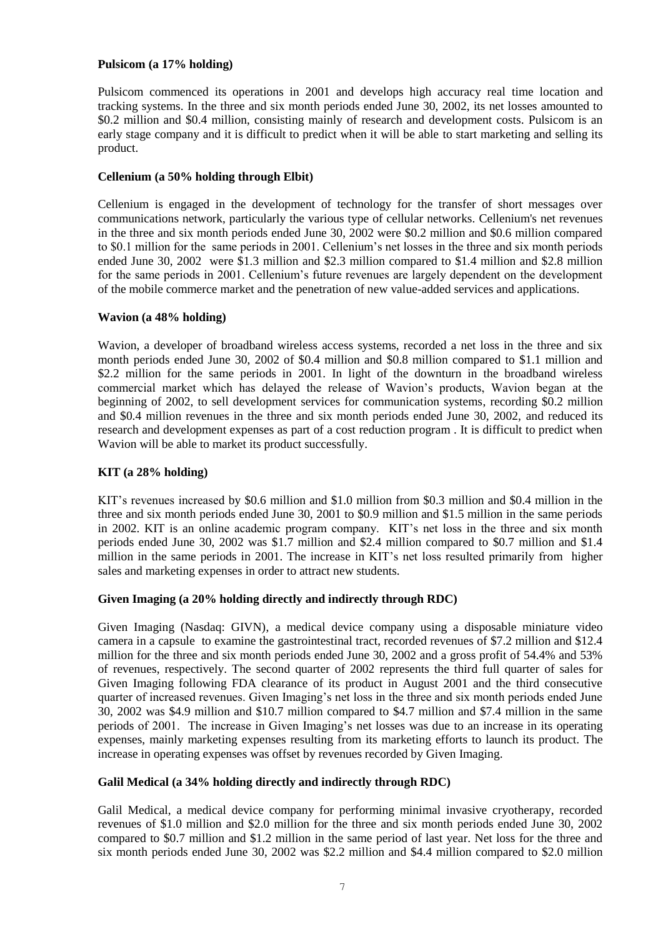## **Pulsicom (a 17% holding)**

Pulsicom commenced its operations in 2001 and develops high accuracy real time location and tracking systems. In the three and six month periods ended June 30, 2002, its net losses amounted to \$0.2 million and \$0.4 million, consisting mainly of research and development costs. Pulsicom is an early stage company and it is difficult to predict when it will be able to start marketing and selling its product.

## **Cellenium (a 50% holding through Elbit)**

Cellenium is engaged in the development of technology for the transfer of short messages over communications network, particularly the various type of cellular networks. Cellenium's net revenues in the three and six month periods ended June 30, 2002 were \$0.2 million and \$0.6 million compared to \$0.1 million for the same periods in 2001. Cellenium's net losses in the three and six month periods ended June 30, 2002 were \$1.3 million and \$2.3 million compared to \$1.4 million and \$2.8 million for the same periods in 2001. Cellenium's future revenues are largely dependent on the development of the mobile commerce market and the penetration of new value-added services and applications.

## **Wavion (a 48% holding)**

Wavion, a developer of broadband wireless access systems, recorded a net loss in the three and six month periods ended June 30, 2002 of \$0.4 million and \$0.8 million compared to \$1.1 million and \$2.2 million for the same periods in 2001. In light of the downturn in the broadband wireless commercial market which has delayed the release of Wavion's products, Wavion began at the beginning of 2002, to sell development services for communication systems, recording \$0.2 million and \$0.4 million revenues in the three and six month periods ended June 30, 2002, and reduced its research and development expenses as part of a cost reduction program . It is difficult to predict when Wavion will be able to market its product successfully.

# **KIT (a 28% holding)**

KIT's revenues increased by \$0.6 million and \$1.0 million from \$0.3 million and \$0.4 million in the three and six month periods ended June 30, 2001 to \$0.9 million and \$1.5 million in the same periods in 2002. KIT is an online academic program company. KIT's net loss in the three and six month periods ended June 30, 2002 was \$1.7 million and \$2.4 million compared to \$0.7 million and \$1.4 million in the same periods in 2001. The increase in KIT's net loss resulted primarily from higher sales and marketing expenses in order to attract new students.

## **Given Imaging (a 20% holding directly and indirectly through RDC)**

Given Imaging (Nasdaq: GIVN), a medical device company using a disposable miniature video camera in a capsule to examine the gastrointestinal tract, recorded revenues of \$7.2 million and \$12.4 million for the three and six month periods ended June 30, 2002 and a gross profit of 54.4% and 53% of revenues, respectively. The second quarter of 2002 represents the third full quarter of sales for Given Imaging following FDA clearance of its product in August 2001 and the third consecutive quarter of increased revenues. Given Imaging's net loss in the three and six month periods ended June 30, 2002 was \$4.9 million and \$10.7 million compared to \$4.7 million and \$7.4 million in the same periods of 2001. The increase in Given Imaging's net losses was due to an increase in its operating expenses, mainly marketing expenses resulting from its marketing efforts to launch its product. The increase in operating expenses was offset by revenues recorded by Given Imaging.

## **Galil Medical (a 34% holding directly and indirectly through RDC)**

Galil Medical, a medical device company for performing minimal invasive cryotherapy, recorded revenues of \$1.0 million and \$2.0 million for the three and six month periods ended June 30, 2002 compared to \$0.7 million and \$1.2 million in the same period of last year. Net loss for the three and six month periods ended June 30, 2002 was \$2.2 million and \$4.4 million compared to \$2.0 million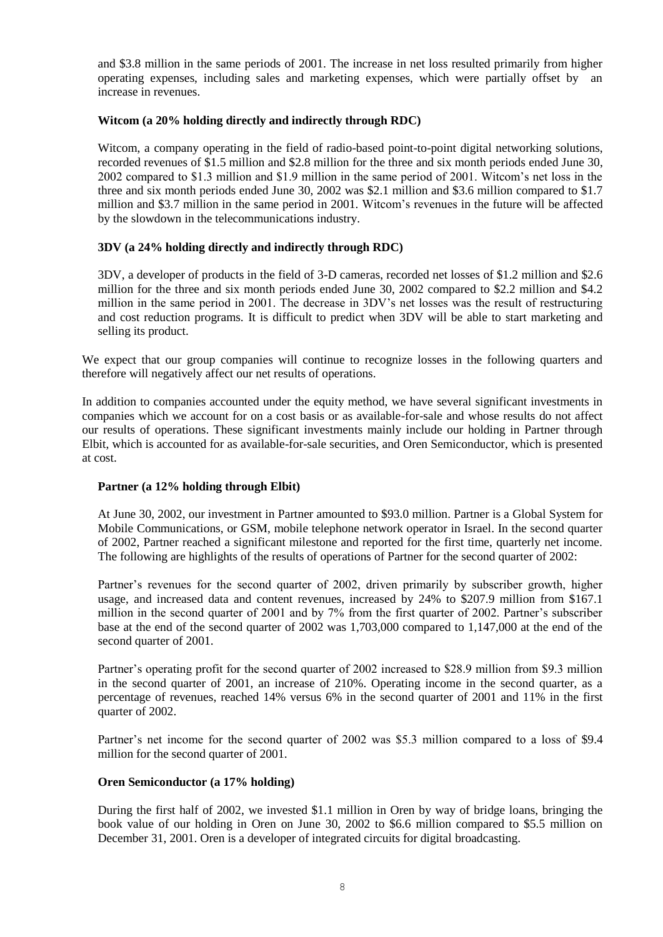and \$3.8 million in the same periods of 2001. The increase in net loss resulted primarily from higher operating expenses, including sales and marketing expenses, which were partially offset by an increase in revenues.

## **Witcom (a 20% holding directly and indirectly through RDC)**

Witcom, a company operating in the field of radio-based point-to-point digital networking solutions, recorded revenues of \$1.5 million and \$2.8 million for the three and six month periods ended June 30, 2002 compared to \$1.3 million and \$1.9 million in the same period of 2001. Witcom's net loss in the three and six month periods ended June 30, 2002 was \$2.1 million and \$3.6 million compared to \$1.7 million and \$3.7 million in the same period in 2001. Witcom's revenues in the future will be affected by the slowdown in the telecommunications industry.

# **3DV (a 24% holding directly and indirectly through RDC)**

3DV, a developer of products in the field of 3-D cameras, recorded net losses of \$1.2 million and \$2.6 million for the three and six month periods ended June 30, 2002 compared to \$2.2 million and \$4.2 million in the same period in 2001. The decrease in 3DV's net losses was the result of restructuring and cost reduction programs. It is difficult to predict when 3DV will be able to start marketing and selling its product.

We expect that our group companies will continue to recognize losses in the following quarters and therefore will negatively affect our net results of operations.

In addition to companies accounted under the equity method, we have several significant investments in companies which we account for on a cost basis or as available-for-sale and whose results do not affect our results of operations. These significant investments mainly include our holding in Partner through Elbit, which is accounted for as available-for-sale securities, and Oren Semiconductor, which is presented at cost.

## **Partner (a 12% holding through Elbit)**

At June 30, 2002, our investment in Partner amounted to \$93.0 million. Partner is a Global System for Mobile Communications, or GSM, mobile telephone network operator in Israel. In the second quarter of 2002, Partner reached a significant milestone and reported for the first time, quarterly net income. The following are highlights of the results of operations of Partner for the second quarter of 2002:

Partner's revenues for the second quarter of 2002, driven primarily by subscriber growth, higher usage, and increased data and content revenues, increased by 24% to \$207.9 million from \$167.1 million in the second quarter of 2001 and by 7% from the first quarter of 2002. Partner's subscriber base at the end of the second quarter of 2002 was 1,703,000 compared to 1,147,000 at the end of the second quarter of 2001.

Partner's operating profit for the second quarter of 2002 increased to \$28.9 million from \$9.3 million in the second quarter of 2001, an increase of 210%. Operating income in the second quarter, as a percentage of revenues, reached 14% versus 6% in the second quarter of 2001 and 11% in the first quarter of 2002.

Partner's net income for the second quarter of 2002 was \$5.3 million compared to a loss of \$9.4 million for the second quarter of 2001.

## **Oren Semiconductor (a 17% holding)**

During the first half of 2002, we invested \$1.1 million in Oren by way of bridge loans, bringing the book value of our holding in Oren on June 30, 2002 to \$6.6 million compared to \$5.5 million on December 31, 2001. Oren is a developer of integrated circuits for digital broadcasting.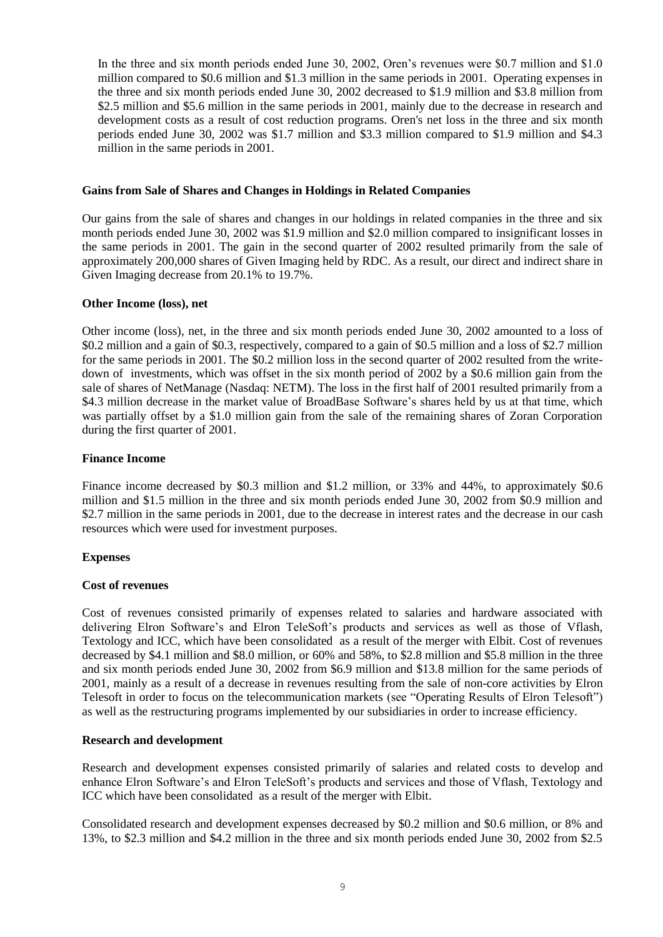In the three and six month periods ended June 30, 2002, Oren's revenues were \$0.7 million and \$1.0 million compared to \$0.6 million and \$1.3 million in the same periods in 2001. Operating expenses in the three and six month periods ended June 30, 2002 decreased to \$1.9 million and \$3.8 million from \$2.5 million and \$5.6 million in the same periods in 2001, mainly due to the decrease in research and development costs as a result of cost reduction programs. Oren's net loss in the three and six month periods ended June 30, 2002 was \$1.7 million and \$3.3 million compared to \$1.9 million and \$4.3 million in the same periods in 2001.

### **Gains from Sale of Shares and Changes in Holdings in Related Companies**

Our gains from the sale of shares and changes in our holdings in related companies in the three and six month periods ended June 30, 2002 was \$1.9 million and \$2.0 million compared to insignificant losses in the same periods in 2001. The gain in the second quarter of 2002 resulted primarily from the sale of approximately 200,000 shares of Given Imaging held by RDC. As a result, our direct and indirect share in Given Imaging decrease from 20.1% to 19.7%.

### **Other Income (loss), net**

Other income (loss), net, in the three and six month periods ended June 30, 2002 amounted to a loss of \$0.2 million and a gain of \$0.3, respectively, compared to a gain of \$0.5 million and a loss of \$2.7 million for the same periods in 2001. The \$0.2 million loss in the second quarter of 2002 resulted from the writedown of investments, which was offset in the six month period of 2002 by a \$0.6 million gain from the sale of shares of NetManage (Nasdaq: NETM). The loss in the first half of 2001 resulted primarily from a \$4.3 million decrease in the market value of BroadBase Software's shares held by us at that time, which was partially offset by a \$1.0 million gain from the sale of the remaining shares of Zoran Corporation during the first quarter of 2001.

### **Finance Income**

Finance income decreased by \$0.3 million and \$1.2 million, or 33% and 44%, to approximately \$0.6 million and \$1.5 million in the three and six month periods ended June 30, 2002 from \$0.9 million and \$2.7 million in the same periods in 2001, due to the decrease in interest rates and the decrease in our cash resources which were used for investment purposes.

## **Expenses**

## **Cost of revenues**

Cost of revenues consisted primarily of expenses related to salaries and hardware associated with delivering Elron Software's and Elron TeleSoft's products and services as well as those of Vflash, Textology and ICC, which have been consolidated as a result of the merger with Elbit. Cost of revenues decreased by \$4.1 million and \$8.0 million, or 60% and 58%, to \$2.8 million and \$5.8 million in the three and six month periods ended June 30, 2002 from \$6.9 million and \$13.8 million for the same periods of 2001, mainly as a result of a decrease in revenues resulting from the sale of non-core activities by Elron Telesoft in order to focus on the telecommunication markets (see "Operating Results of Elron Telesoft") as well as the restructuring programs implemented by our subsidiaries in order to increase efficiency.

## **Research and development**

Research and development expenses consisted primarily of salaries and related costs to develop and enhance Elron Software's and Elron TeleSoft's products and services and those of Vflash, Textology and ICC which have been consolidated as a result of the merger with Elbit.

Consolidated research and development expenses decreased by \$0.2 million and \$0.6 million, or 8% and 13%, to \$2.3 million and \$4.2 million in the three and six month periods ended June 30, 2002 from \$2.5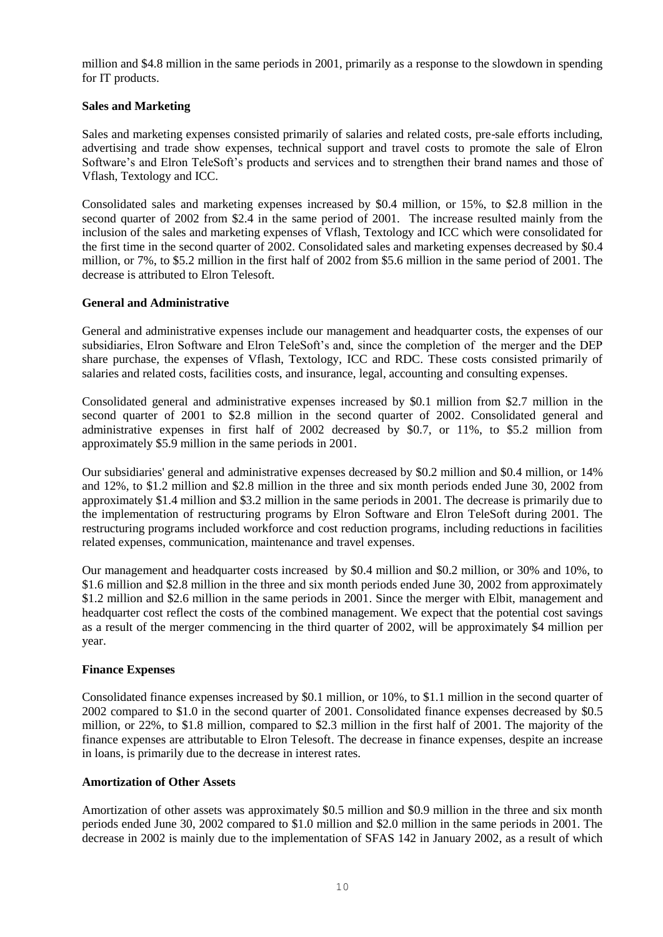million and \$4.8 million in the same periods in 2001, primarily as a response to the slowdown in spending for IT products.

## **Sales and Marketing**

Sales and marketing expenses consisted primarily of salaries and related costs, pre-sale efforts including, advertising and trade show expenses, technical support and travel costs to promote the sale of Elron Software's and Elron TeleSoft's products and services and to strengthen their brand names and those of Vflash, Textology and ICC.

Consolidated sales and marketing expenses increased by \$0.4 million, or 15%, to \$2.8 million in the second quarter of 2002 from \$2.4 in the same period of 2001. The increase resulted mainly from the inclusion of the sales and marketing expenses of Vflash, Textology and ICC which were consolidated for the first time in the second quarter of 2002. Consolidated sales and marketing expenses decreased by \$0.4 million, or 7%, to \$5.2 million in the first half of 2002 from \$5.6 million in the same period of 2001. The decrease is attributed to Elron Telesoft.

# **General and Administrative**

General and administrative expenses include our management and headquarter costs, the expenses of our subsidiaries, Elron Software and Elron TeleSoft's and, since the completion of the merger and the DEP share purchase, the expenses of Vflash, Textology, ICC and RDC. These costs consisted primarily of salaries and related costs, facilities costs, and insurance, legal, accounting and consulting expenses.

Consolidated general and administrative expenses increased by \$0.1 million from \$2.7 million in the second quarter of 2001 to \$2.8 million in the second quarter of 2002. Consolidated general and administrative expenses in first half of 2002 decreased by \$0.7, or 11%, to \$5.2 million from approximately \$5.9 million in the same periods in 2001.

Our subsidiaries' general and administrative expenses decreased by \$0.2 million and \$0.4 million, or 14% and 12%, to \$1.2 million and \$2.8 million in the three and six month periods ended June 30, 2002 from approximately \$1.4 million and \$3.2 million in the same periods in 2001. The decrease is primarily due to the implementation of restructuring programs by Elron Software and Elron TeleSoft during 2001. The restructuring programs included workforce and cost reduction programs, including reductions in facilities related expenses, communication, maintenance and travel expenses.

Our management and headquarter costs increased by \$0.4 million and \$0.2 million, or 30% and 10%, to \$1.6 million and \$2.8 million in the three and six month periods ended June 30, 2002 from approximately \$1.2 million and \$2.6 million in the same periods in 2001. Since the merger with Elbit, management and headquarter cost reflect the costs of the combined management. We expect that the potential cost savings as a result of the merger commencing in the third quarter of 2002, will be approximately \$4 million per year.

## **Finance Expenses**

Consolidated finance expenses increased by \$0.1 million, or 10%, to \$1.1 million in the second quarter of 2002 compared to \$1.0 in the second quarter of 2001. Consolidated finance expenses decreased by \$0.5 million, or 22%, to \$1.8 million, compared to \$2.3 million in the first half of 2001. The majority of the finance expenses are attributable to Elron Telesoft. The decrease in finance expenses, despite an increase in loans, is primarily due to the decrease in interest rates.

## **Amortization of Other Assets**

Amortization of other assets was approximately \$0.5 million and \$0.9 million in the three and six month periods ended June 30, 2002 compared to \$1.0 million and \$2.0 million in the same periods in 2001. The decrease in 2002 is mainly due to the implementation of SFAS 142 in January 2002, as a result of which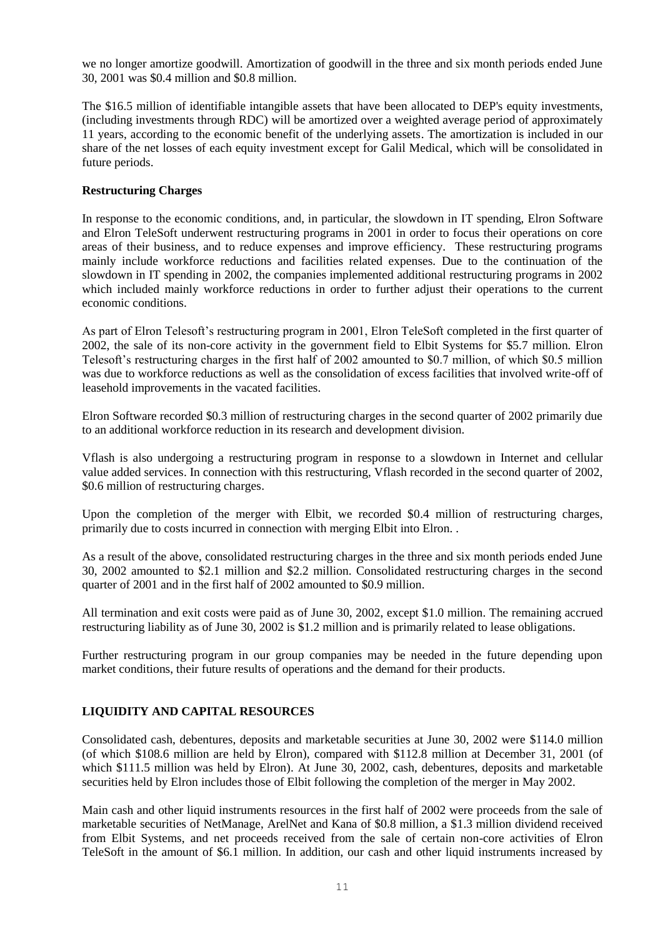we no longer amortize goodwill. Amortization of goodwill in the three and six month periods ended June 30, 2001 was \$0.4 million and \$0.8 million.

The \$16.5 million of identifiable intangible assets that have been allocated to DEP's equity investments, (including investments through RDC) will be amortized over a weighted average period of approximately 11 years, according to the economic benefit of the underlying assets. The amortization is included in our share of the net losses of each equity investment except for Galil Medical, which will be consolidated in future periods.

# **Restructuring Charges**

In response to the economic conditions, and, in particular, the slowdown in IT spending, Elron Software and Elron TeleSoft underwent restructuring programs in 2001 in order to focus their operations on core areas of their business, and to reduce expenses and improve efficiency. These restructuring programs mainly include workforce reductions and facilities related expenses. Due to the continuation of the slowdown in IT spending in 2002, the companies implemented additional restructuring programs in 2002 which included mainly workforce reductions in order to further adjust their operations to the current economic conditions.

As part of Elron Telesoft's restructuring program in 2001, Elron TeleSoft completed in the first quarter of 2002, the sale of its non-core activity in the government field to Elbit Systems for \$5.7 million. Elron Telesoft's restructuring charges in the first half of 2002 amounted to \$0.7 million, of which \$0.5 million was due to workforce reductions as well as the consolidation of excess facilities that involved write-off of leasehold improvements in the vacated facilities.

Elron Software recorded \$0.3 million of restructuring charges in the second quarter of 2002 primarily due to an additional workforce reduction in its research and development division.

Vflash is also undergoing a restructuring program in response to a slowdown in Internet and cellular value added services. In connection with this restructuring, Vflash recorded in the second quarter of 2002, \$0.6 million of restructuring charges.

Upon the completion of the merger with Elbit, we recorded \$0.4 million of restructuring charges, primarily due to costs incurred in connection with merging Elbit into Elron. .

As a result of the above, consolidated restructuring charges in the three and six month periods ended June 30, 2002 amounted to \$2.1 million and \$2.2 million. Consolidated restructuring charges in the second quarter of 2001 and in the first half of 2002 amounted to \$0.9 million.

All termination and exit costs were paid as of June 30, 2002, except \$1.0 million. The remaining accrued restructuring liability as of June 30, 2002 is \$1.2 million and is primarily related to lease obligations.

Further restructuring program in our group companies may be needed in the future depending upon market conditions, their future results of operations and the demand for their products.

## **LIQUIDITY AND CAPITAL RESOURCES**

Consolidated cash, debentures, deposits and marketable securities at June 30, 2002 were \$114.0 million (of which \$108.6 million are held by Elron), compared with \$112.8 million at December 31, 2001 (of which \$111.5 million was held by Elron). At June 30, 2002, cash, debentures, deposits and marketable securities held by Elron includes those of Elbit following the completion of the merger in May 2002.

Main cash and other liquid instruments resources in the first half of 2002 were proceeds from the sale of marketable securities of NetManage, ArelNet and Kana of \$0.8 million, a \$1.3 million dividend received from Elbit Systems, and net proceeds received from the sale of certain non-core activities of Elron TeleSoft in the amount of \$6.1 million. In addition, our cash and other liquid instruments increased by